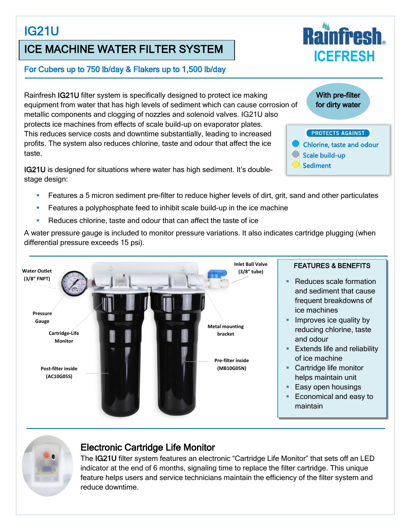## IG21U

## ICE MACHINE WATER FILTER SYSTEM

#### For Cubers up to 750 lb/day & Flakers up to 1,500 lb/day

Rainfresh IG21U filter system is specifically designed to protect ice making equipment from water that has high levels of sediment which can cause corrosion of metallic components and clogging of nozzles and solenoid valves. IG21U also protects ice machines from effects of scale build-up on evaporator plates. This reduces service costs and downtime substantially, leading to increased profits. The system also reduces chlorine, taste and odour that affect the ice taste.

IG21U is designed for situations where water has high sediment. It's doublestage design:

- **Features a 5 micron sediment pre-filter to reduce higher levels of dirt, grit, sand and other particulates**
- Features a polyphosphate feed to inhibit scale build-up in the ice machine
- Reduces chlorine, taste and odour that can affect the taste of ice

A water pressure gauge is included to monitor pressure variations. It also indicates cartridge plugging (when differential pressure exceeds 15 psi).





#### Electronic Cartridge Life Monitor

The IG21U filter system features an electronic "Cartridge Life Monitor" that sets off an LED indicator at the end of 6 months, signaling time to replace the filter cartridge. This unique feature helps users and service technicians maintain the efficiency of the filter system and reduce downtime.



With pre-filter for dirty water

#### **PROTECTS AGAINST**

- Chlorine, taste and odour
- Scale build-up
- **Sediment**